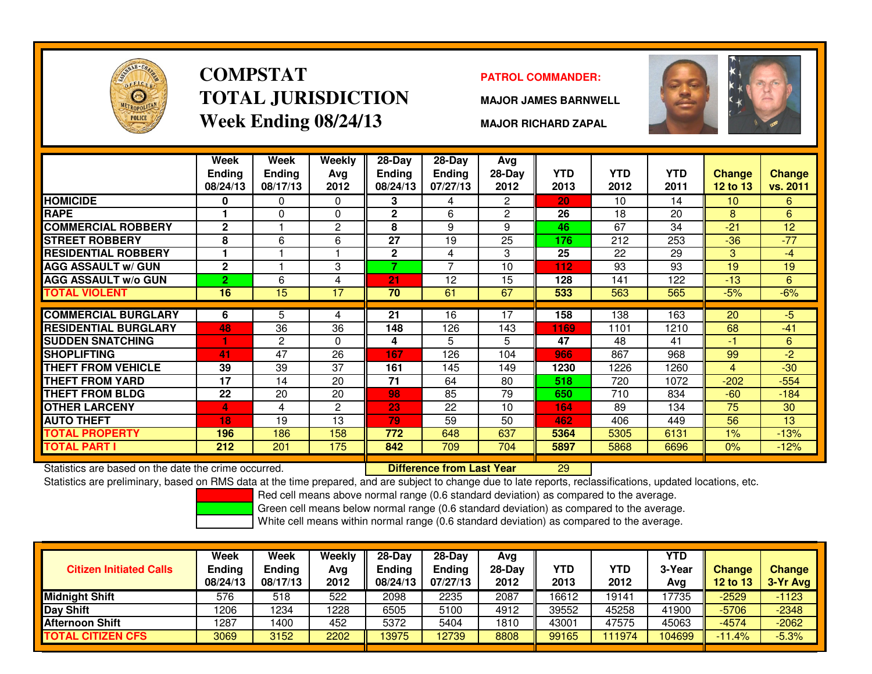

# **COMPSTATTOTAL JURISDICTIONWeek Ending 08/24/13**

### **PATROL COMMANDER:**

**MAJOR JAMES BARNWELL**



**MAJOR RICHARD ZAPAL**

|                             | Week<br><b>Endina</b><br>08/24/13 | Week<br><b>Ending</b><br>08/17/13 | Weekly<br>Avg<br>2012 | $28-Day$<br><b>Endina</b><br>08/24/13 | $28$ -Day<br><b>Ending</b><br>07/27/13 | Avg<br>$28-Day$<br>2012 | <b>YTD</b><br>2013 | <b>YTD</b><br>2012 | <b>YTD</b><br>2011 | Change<br>12 to 13 | <b>Change</b><br>vs. 2011 |
|-----------------------------|-----------------------------------|-----------------------------------|-----------------------|---------------------------------------|----------------------------------------|-------------------------|--------------------|--------------------|--------------------|--------------------|---------------------------|
| <b>HOMICIDE</b>             | 0                                 | 0                                 | 0                     | 3                                     | 4                                      | $\overline{2}$          | 20                 | 10                 | 14                 | 10                 | 6                         |
| <b>RAPE</b>                 | 1                                 | 0                                 | $\Omega$              | $\mathbf{2}$                          | 6                                      | $\overline{c}$          | 26                 | 18                 | 20                 | 8                  | 6                         |
| <b>COMMERCIAL ROBBERY</b>   | $\mathbf{2}$                      |                                   | $\overline{c}$        | 8                                     | 9                                      | 9                       | 46                 | 67                 | 34                 | $-21$              | 12                        |
| <b>STREET ROBBERY</b>       | 8                                 | 6                                 | 6                     | 27                                    | 19                                     | 25                      | 176                | 212                | 253                | $-36$              | $-77$                     |
| <b>RESIDENTIAL ROBBERY</b>  |                                   |                                   |                       | $\mathbf{2}$                          | 4                                      | 3                       | 25                 | 22                 | 29                 | 3                  | -4                        |
| <b>AGG ASSAULT w/ GUN</b>   | $\mathbf{2}$                      |                                   | 3                     | 7                                     | 7                                      | 10                      | 112                | 93                 | 93                 | 19                 | 19                        |
| <b>AGG ASSAULT w/o GUN</b>  | $\overline{2}$                    | 6                                 | 4                     | 21                                    | 12                                     | 15                      | 128                | 141                | 122                | $-13$              | 6                         |
| TOTAL VIOLENT               | 16                                | 15                                | 17                    | 70                                    | 61                                     | 67                      | 533                | 563                | 565                | $-5%$              | $-6%$                     |
|                             |                                   |                                   |                       |                                       |                                        |                         |                    |                    |                    |                    |                           |
| <b>COMMERCIAL BURGLARY</b>  | 6                                 | 5                                 | 4                     | 21                                    | 16                                     | 17                      | 158                | 138                | 163                | 20                 | -5                        |
| <b>RESIDENTIAL BURGLARY</b> | 48                                | 36                                | 36                    | 148                                   | 126                                    | 143                     | 1169               | 1101               | 1210               | 68                 | $-41$                     |
| <b>SUDDEN SNATCHING</b>     |                                   | $\overline{c}$                    | $\Omega$              | 4                                     | 5                                      | 5                       | 47                 | 48                 | 41                 | -1                 | 6                         |
| <b>SHOPLIFTING</b>          | 41                                | 47                                | 26                    | 167                                   | 126                                    | 104                     | 966                | 867                | 968                | 99                 | -2                        |
| <b>THEFT FROM VEHICLE</b>   | 39                                | 39                                | 37                    | 161                                   | 145                                    | 149                     | 1230               | 1226               | 1260               | 4                  | $-30$                     |
| THEFT FROM YARD             | 17                                | 14                                | 20                    | 71                                    | 64                                     | 80                      | 518                | 720                | 1072               | $-202$             | $-554$                    |
| THEFT FROM BLDG             | 22                                | 20                                | 20                    | 98                                    | 85                                     | 79                      | 650                | 710                | 834                | $-60$              | $-184$                    |
| <b>OTHER LARCENY</b>        | 4                                 | 4                                 | 2                     | 23                                    | 22                                     | 10                      | 164                | 89                 | 134                | 75                 | 30                        |
| <b>AUTO THEFT</b>           | 18                                | 19                                | 13                    | 79                                    | 59                                     | 50                      | 462                | 406                | 449                | 56                 | 13                        |
| <b>TOTAL PROPERTY</b>       | 196                               | 186                               | 158                   | 772                                   | 648                                    | 637                     | 5364               | 5305               | 6131               | $1\%$              | $-13%$                    |
| TOTAL PART I                | 212                               | 201                               | 175                   | 842                                   | 709                                    | 704                     | 5897               | 5868               | 6696               | $0\%$              | $-12%$                    |

Statistics are based on the date the crime occurred. **Difference from Last Year** 

Statistics are based on the date the crime occurred. **[20] Lack Lub Tufference from Last Year [20] 29] Statistics**<br>Statistics are preliminary, based on RMS data at the time prepared, and are subject to change due to late r

Red cell means above normal range (0.6 standard deviation) as compared to the average.

Green cell means below normal range (0.6 standard deviation) as compared to the average.

| <b>Citizen Initiated Calls</b> | Week<br><b>Ending</b><br>08/24/13 | <b>Week</b><br><b>Ending</b><br>08/17/13 | Weekly<br>Avg<br>2012 | $28-Dav$<br>Endina<br>08/24/13 | $28-Day$<br><b>Ending</b><br>07/27/13 | Avg<br>$28-Dav$<br>2012 | YTD<br>2013 | YTD<br>2012 | <b>YTD</b><br>3-Year<br>Ava | <b>Change</b><br><b>12 to 13</b> | <b>Change</b><br>3-Yr Avg |
|--------------------------------|-----------------------------------|------------------------------------------|-----------------------|--------------------------------|---------------------------------------|-------------------------|-------------|-------------|-----------------------------|----------------------------------|---------------------------|
| <b>Midnight Shift</b>          | 576                               | 518                                      | 522                   | 2098                           | 2235                                  | 2087                    | 16612       | 19141       | 17735                       | $-2529$                          | $-1123$                   |
| Day Shift                      | 1206                              | 1234                                     | 1228                  | 6505                           | 5100                                  | 4912                    | 39552       | 45258       | 41900                       | $-5706$                          | $-2348$                   |
| <b>Afternoon Shift</b>         | 1287                              | 1400                                     | 452                   | 5372                           | 5404                                  | 1810                    | 43001       | 47575       | 45063                       | $-4574$                          | $-2062$                   |
| <b>TOTAL CITIZEN CFS</b>       | 3069                              | 3152                                     | 2202                  | 13975                          | 12739                                 | 8808                    | 99165       | 11974       | 104699                      | $-11.4%$                         | $-5.3%$                   |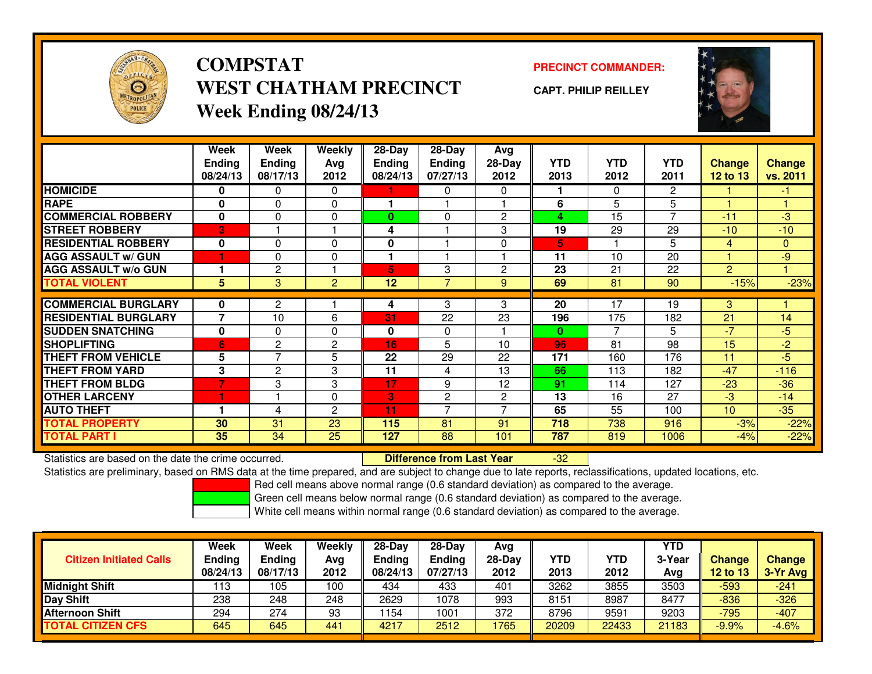

### **COMPSTATPRECINCT COMMANDER:**<br>
PRECINCT COMMANDER: **WEST CHATHAM PRECINCTWeek Ending 08/24/13**

**CAPT. PHILIP REILLEY**



|                             | Week<br><b>Ending</b>   | Week<br><b>Ending</b> | <b>Weekly</b><br>Avg | 28-Day<br><b>Endina</b> | $28-Day$<br><b>Ending</b> | Avg<br>$28-Day$ | <b>YTD</b>   | <b>YTD</b><br>2012 | <b>YTD</b>     | <b>Change</b>   | <b>Change</b> |
|-----------------------------|-------------------------|-----------------------|----------------------|-------------------------|---------------------------|-----------------|--------------|--------------------|----------------|-----------------|---------------|
|                             | 08/24/13                | 08/17/13              | 2012                 | 08/24/13                | 07/27/13                  | 2012            | 2013         |                    | 2011           | 12 to 13        | vs. 2011      |
| <b>HOMICIDE</b>             | 0                       | 0                     | 0                    |                         | 0                         | 0               |              | $\mathbf{0}$       | $\overline{2}$ |                 | -1            |
| <b>RAPE</b>                 | 0                       | $\Omega$              | $\Omega$             |                         |                           |                 | 6            | 5                  | 5              |                 |               |
| <b>COMMERCIAL ROBBERY</b>   | $\mathbf{0}$            | $\Omega$              | $\Omega$             | $\bf{0}$                | $\Omega$                  | $\overline{c}$  | 4            | 15                 | 7              | $-11$           | $-3$          |
| <b>STREET ROBBERY</b>       | $\overline{\mathbf{3}}$ |                       |                      | 4                       |                           | 3               | 19           | 29                 | 29             | $-10$           | $-10$         |
| <b>RESIDENTIAL ROBBERY</b>  | $\bf{0}$                | $\Omega$              | $\Omega$             | 0                       |                           | $\Omega$        | 5.           |                    | 5              | 4               | $\mathbf{0}$  |
| <b>AGG ASSAULT w/ GUN</b>   |                         | 0                     | 0                    |                         |                           |                 | 11           | 10                 | 20             |                 | $-9$          |
| <b>AGG ASSAULT w/o GUN</b>  |                         | $\overline{c}$        |                      | 5                       | 3                         | $\overline{c}$  | 23           | 21                 | 22             | $\overline{2}$  |               |
| <b>TOTAL VIOLENT</b>        | 5                       | 3                     | 2                    | 12                      | $\overline{7}$            | 9               | 69           | 81                 | 90             | $-15%$          | $-23%$        |
|                             |                         |                       |                      |                         |                           |                 |              |                    |                |                 |               |
| <b>COMMERCIAL BURGLARY</b>  | $\bf{0}$                | 2                     |                      | 4                       | 3                         | 3               | 20           | 17                 | 19             | 3               |               |
| <b>RESIDENTIAL BURGLARY</b> | 7                       | 10                    | 6                    | 31                      | 22                        | 23              | 196          | 175                | 182            | 21              | 14            |
| <b>SUDDEN SNATCHING</b>     | 0                       | $\Omega$              | $\Omega$             | $\mathbf{0}$            | $\Omega$                  |                 | $\mathbf{0}$ | $\overline{7}$     | 5              | $-7$            | $-5$          |
| <b>SHOPLIFTING</b>          | 6                       | 2                     | $\overline{c}$       | 16                      | 5                         | 10              | 96           | 81                 | 98             | 15              | $-2$          |
| <b>THEFT FROM VEHICLE</b>   | 5                       | $\overline{7}$        | 5                    | 22                      | 29                        | 22              | 171          | 160                | 176            | 11              | $-5$          |
| <b>THEFT FROM YARD</b>      | 3                       | $\mathbf{2}$          | 3                    | 11                      | 4                         | 13              | 66           | 113                | 182            | $-47$           | $-116$        |
| <b>THEFT FROM BLDG</b>      | 7                       | 3                     | 3                    | 17                      | 9                         | 12              | 91           | 114                | 127            | $-23$           | $-36$         |
| <b>OTHER LARCENY</b>        | и                       |                       | 0                    | 3                       | $\overline{2}$            | $\overline{2}$  | 13           | 16                 | 27             | $-3$            | $-14$         |
| <b>AUTO THEFT</b>           |                         | 4                     | 2                    | 11                      | $\overline{ }$            | 7               | 65           | 55                 | 100            | 10 <sup>°</sup> | $-35$         |
| <b>TOTAL PROPERTY</b>       | 30                      | 31                    | 23                   | 115                     | 81                        | 91              | 718          | 738                | 916            | $-3%$           | $-22%$        |
| <b>TOTAL PART I</b>         | 35                      | 34                    | 25                   | 127                     | 88                        | 101             | 787          | 819                | 1006           | $-4%$           | $-22%$        |

Statistics are based on the date the crime occurred. **Difference from Last Year** 

-32

Statistics are preliminary, based on RMS data at the time prepared, and are subject to change due to late reports, reclassifications, updated locations, etc.

Red cell means above normal range (0.6 standard deviation) as compared to the average.

Green cell means below normal range (0.6 standard deviation) as compared to the average.

|                                | <b>Week</b>   | Week          | Weekly | $28-Day$      | $28-Dav$ | Avg      |            |            | <b>YTD</b> |          |               |
|--------------------------------|---------------|---------------|--------|---------------|----------|----------|------------|------------|------------|----------|---------------|
| <b>Citizen Initiated Calls</b> | <b>Ending</b> | <b>Ending</b> | Avg    | <b>Ending</b> | Ending   | $28-Dav$ | <b>YTD</b> | <b>YTD</b> | 3-Year     | Change   | <b>Change</b> |
|                                | 08/24/13      | 08/17/13      | 2012   | 08/24/13      | 07/27/13 | 2012     | 2013       | 2012       | Avg        | 12 to 13 | $3-Yr$ Avg    |
| <b>Midnight Shift</b>          | 113           | 105           | 100    | 434           | 433      | 401      | 3262       | 3855       | 3503       | -593     | $-241$        |
| Day Shift                      | 238           | 248           | 248    | 2629          | 1078     | 993      | 8151       | 8987       | 8477       | $-836$   | $-326$        |
| <b>Afternoon Shift</b>         | 294           | 274           | 93     | ' 154         | 1001     | 372      | 8796       | 9591       | 9203       | $-795$   | $-407$        |
| <b>TOTAL CITIZEN CFS</b>       | 645           | 645           | 441    | 4217          | 2512     | 1765     | 20209      | 22433      | 21183      | $-9.9%$  | $-4.6%$       |
|                                |               |               |        |               |          |          |            |            |            |          |               |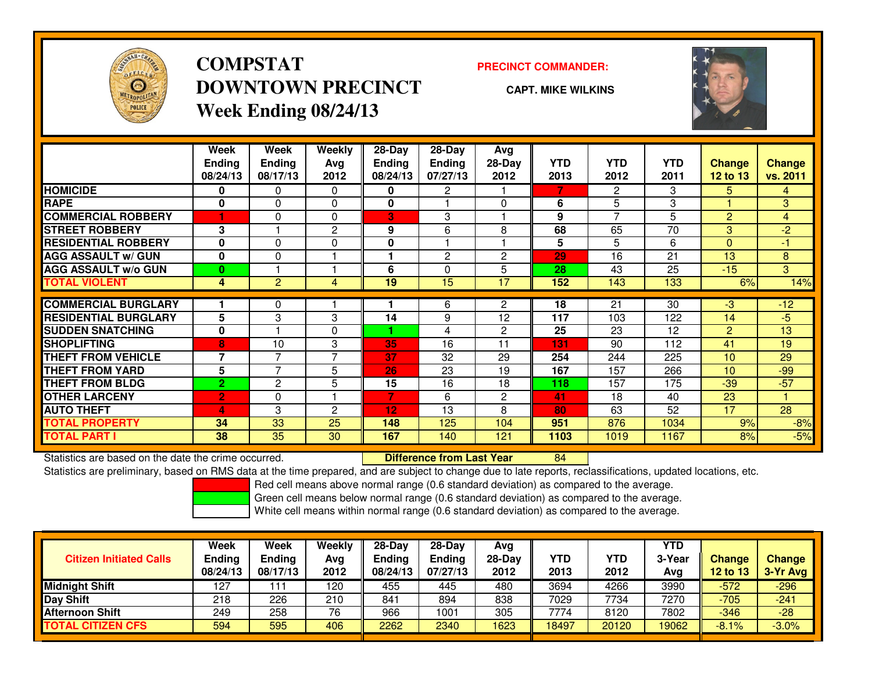

## **COMPSTATDOWNTOWN PRECINCTWeek Ending 08/24/13**

### **PRECINCT COMMANDER:**

**CAPT. MIKE WILKINS**

<sup>84</sup>



|                             | Week<br><b>Ending</b><br>08/24/13 | Week<br><b>Ending</b><br>08/17/13 | Weekly<br>Ava<br>2012 | 28-Day<br>Ending<br>08/24/13 | $28-Day$<br><b>Endina</b><br>07/27/13 | Avg<br>$28-Day$<br>2012 | <b>YTD</b><br>2013 | <b>YTD</b><br>2012 | <b>YTD</b><br>2011 | <b>Change</b><br>12 to 13 | <b>Change</b><br>vs. 2011 |
|-----------------------------|-----------------------------------|-----------------------------------|-----------------------|------------------------------|---------------------------------------|-------------------------|--------------------|--------------------|--------------------|---------------------------|---------------------------|
| <b>HOMICIDE</b>             | 0                                 | 0                                 | $\Omega$              | 0                            | 2                                     |                         | 7                  | 2                  | 3                  | 5.                        | $\overline{4}$            |
| <b>RAPE</b>                 | 0                                 | 0                                 | 0                     | 0                            |                                       | $\Omega$                | 6                  | 5                  | 3                  |                           | 3                         |
| <b>COMMERCIAL ROBBERY</b>   | 1                                 | 0                                 | $\Omega$              | 3                            | 3                                     |                         | 9                  | 7                  | 5                  | $\overline{2}$            | 4                         |
| <b>STREET ROBBERY</b>       | 3                                 |                                   | 2                     | 9                            | 6                                     | 8                       | 68                 | 65                 | 70                 | 3                         | $-2$                      |
| <b>RESIDENTIAL ROBBERY</b>  | $\bf{0}$                          | 0                                 | 0                     | $\mathbf 0$                  |                                       |                         | 5                  | 5                  | 6                  | $\Omega$                  | $-1$                      |
| <b>AGG ASSAULT w/ GUN</b>   | $\mathbf{0}$                      | 0                                 |                       |                              | $\overline{2}$                        | $\overline{c}$          | 29                 | 16                 | 21                 | 13                        | 8                         |
| <b>AGG ASSAULT w/o GUN</b>  | $\bf{0}$                          |                                   |                       | 6                            | $\Omega$                              | 5                       | 28                 | 43                 | 25                 | $-15$                     | 3                         |
| <b>TOTAL VIOLENT</b>        | 4                                 | 2                                 | 4                     | 19                           | 15                                    | 17                      | 152                | 143                | 133                | 6%                        | 14%                       |
| <b>COMMERCIAL BURGLARY</b>  |                                   | 0                                 |                       |                              | 6                                     | 2                       | 18                 | 21                 | 30                 | $-3$                      | $-12$                     |
| <b>RESIDENTIAL BURGLARY</b> | 5                                 | 3                                 | 3                     | 14                           | 9                                     | 12                      | 117                | 103                | 122                | 14                        | $-5$                      |
| <b>SUDDEN SNATCHING</b>     | $\mathbf 0$                       |                                   | $\Omega$              |                              | 4                                     | $\overline{c}$          | 25                 | 23                 | 12                 | 2                         | 13                        |
| <b>SHOPLIFTING</b>          | $\overline{\mathbf{8}}$           | 10                                | 3                     | 35                           | 16                                    | 11                      | 131                | 90                 | 112                | 41                        | 19                        |
| <b>THEFT FROM VEHICLE</b>   | $\overline{7}$                    | 7                                 | $\overline{ }$        | 37                           | 32                                    | 29                      | 254                | 244                | 225                | 10                        | 29                        |
| <b>THEFT FROM YARD</b>      | 5                                 | 7                                 | 5                     | 26                           | 23                                    | 19                      | 167                | 157                | 266                | 10                        | $-99$                     |
| <b>THEFT FROM BLDG</b>      | $\overline{2}$                    | $\overline{2}$                    | 5                     | 15                           | 16                                    | 18                      | 118                | 157                | 175                | $-39$                     | $-57$                     |
| <b>OTHER LARCENY</b>        | $\overline{2}$                    | 0                                 |                       | 7                            | 6                                     | $\overline{c}$          | 41                 | 18                 | 40                 | 23                        |                           |
| <b>AUTO THEFT</b>           | 4                                 | 3                                 | $\overline{c}$        | 12                           | 13                                    | 8                       | 80                 | 63                 | 52                 | 17                        | 28                        |
| <b>TOTAL PROPERTY</b>       | 34                                | 33                                | 25                    | 148                          | 125                                   | 104                     | 951                | 876                | 1034               | 9%                        | $-8%$                     |
| <b>TOTAL PART I</b>         | 38                                | 35                                | 30                    | 167                          | 140                                   | 121                     | 1103               | 1019               | 1167               | 8%                        | $-5%$                     |

Statistics are based on the date the crime occurred. **Difference from Last Year** 

Statistics are preliminary, based on RMS data at the time prepared, and are subject to change due to late reports, reclassifications, updated locations, etc.

Red cell means above normal range (0.6 standard deviation) as compared to the average.

Green cell means below normal range (0.6 standard deviation) as compared to the average.

| <b>Week</b> | Week     | Weekly      | $28-Day$ | $28-Dav$      | Avg           |        |       | <b>YTD</b> |          |                           |
|-------------|----------|-------------|----------|---------------|---------------|--------|-------|------------|----------|---------------------------|
| 08/24/13    | 08/17/13 | Avg<br>2012 | 08/24/13 | 07/27/13      | 2012          | 2013   | 2012  | Avg        | 12 to 13 | <b>Change</b><br>3-Yr Avg |
| 127         |          | 120         | 455      | 445           | 480           | 3694   | 4266  | 3990       | $-572$   | $-296$                    |
| 218         | 226      | 210         | 841      | 894           | 838           | 7029   | 7734  | 7270       | $-705$   | $-241$                    |
| 249         | 258      | 76          | 966      | 1001          | 305           | 7774   | 8120  | 7802       | $-346$   | $-28$                     |
| 594         | 595      | 406         | 2262     | 2340          | 1623          | 18497  | 20120 | 19062      | $-8.1%$  | $-3.0%$                   |
|             | Ending   | Ending      |          | <b>Ending</b> | <b>Endina</b> | 28-Day | YTD   | YTD        | 3-Year   | Change                    |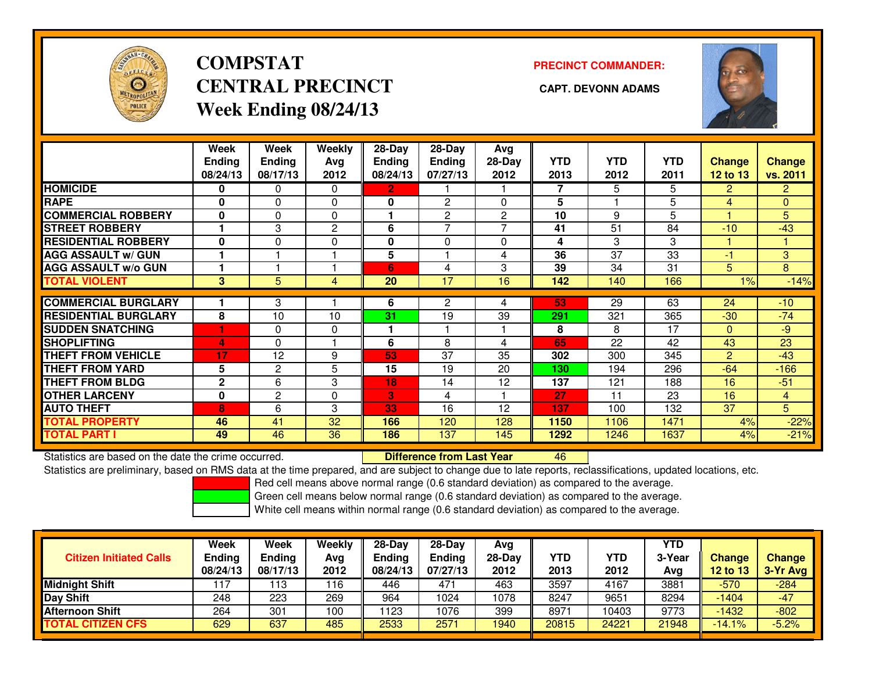

# **COMPSTATCENTRAL PRECINCT CAPT. DEVONN ADAMSWeek Ending 08/24/13**

**PRECINCT COMMANDER:**



|                             | Week<br><b>Ending</b><br>08/24/13 | Week<br><b>Ending</b><br>08/17/13 | Weekly<br>Ava<br>2012 | $28$ -Day<br>Ending<br>08/24/13 | 28-Day<br>Ending<br>07/27/13 | Avg<br>$28-Day$<br>2012 | <b>YTD</b><br>2013 | <b>YTD</b><br>2012 | <b>YTD</b><br>2011 | <b>Change</b><br>12 to 13 | <b>Change</b><br>vs. 2011 |
|-----------------------------|-----------------------------------|-----------------------------------|-----------------------|---------------------------------|------------------------------|-------------------------|--------------------|--------------------|--------------------|---------------------------|---------------------------|
| <b>HOMICIDE</b>             | 0                                 | 0                                 | $\Omega$              | $\overline{2}$                  |                              |                         | 7                  | 5                  | 5                  | $\overline{2}$            | $\overline{2}$            |
| <b>RAPE</b>                 | 0                                 | 0                                 | $\Omega$              | 0                               | $\overline{c}$               | $\Omega$                | 5                  |                    | 5                  | 4                         | $\overline{0}$            |
| <b>COMMERCIAL ROBBERY</b>   | $\bf{0}$                          | 0                                 | $\Omega$              |                                 | $\overline{2}$               | $\overline{2}$          | 10                 | 9                  | 5                  |                           | 5                         |
| <b>STREET ROBBERY</b>       |                                   | 3                                 | $\mathbf{2}$          | 6                               | $\overline{\phantom{a}}$     | 7                       | 41                 | 51                 | 84                 | $-10$                     | $-43$                     |
| <b>RESIDENTIAL ROBBERY</b>  | $\bf{0}$                          | 0                                 | 0                     | $\mathbf{0}$                    | $\Omega$                     | $\Omega$                | 4                  | 3                  | 3                  |                           |                           |
| <b>AGG ASSAULT w/ GUN</b>   |                                   |                                   |                       | 5                               |                              | 4                       | 36                 | 37                 | 33                 | -1                        | 3                         |
| <b>AGG ASSAULT w/o GUN</b>  |                                   |                                   |                       | 6                               | 4                            | 3                       | 39                 | 34                 | 31                 | 5                         | 8                         |
| <b>TOTAL VIOLENT</b>        | 3                                 | 5                                 | 4                     | 20                              | 17                           | 16                      | 142                | 140                | 166                | 1%                        | $-14%$                    |
|                             |                                   |                                   |                       |                                 |                              |                         |                    |                    |                    |                           |                           |
| <b>COMMERCIAL BURGLARY</b>  |                                   | 3                                 |                       | 6                               | 2                            | 4                       | 53                 | 29                 | 63                 | 24                        | $-10$                     |
| <b>RESIDENTIAL BURGLARY</b> | 8                                 | 10                                | 10                    | 31                              | 19                           | 39                      | 291                | 321                | 365                | $-30$                     | $-74$                     |
| <b>SUDDEN SNATCHING</b>     |                                   | 0                                 | 0                     |                                 |                              |                         | 8                  | 8                  | 17                 | $\mathbf{0}$              | $-9$                      |
| <b>SHOPLIFTING</b>          | $\Delta$                          | 0                                 |                       | 6                               | 8                            | 4                       | 65                 | 22                 | 42                 | 43                        | 23                        |
| <b>THEFT FROM VEHICLE</b>   | 17                                | 12                                | 9                     | 53                              | 37                           | 35                      | 302                | 300                | 345                | 2                         | $-43$                     |
| <b>THEFT FROM YARD</b>      | 5                                 | $\overline{2}$                    | 5                     | 15                              | 19                           | 20                      | 130                | 194                | 296                | $-64$                     | $-166$                    |
| <b>THEFT FROM BLDG</b>      | $\mathbf 2$                       | 6                                 | 3                     | 18                              | 14                           | 12                      | 137                | 121                | 188                | 16                        | $-51$                     |
| <b>OTHER LARCENY</b>        | $\bf{0}$                          | 2                                 | 0                     | B                               | 4                            |                         | 27                 | 11                 | 23                 | 16                        | $\overline{4}$            |
| <b>AUTO THEFT</b>           | 8                                 | 6                                 | 3                     | 33                              | 16                           | 12                      | 137                | 100                | 132                | 37                        | 5                         |
| <b>TOTAL PROPERTY</b>       | 46                                | 41                                | 32                    | 166                             | 120                          | 128                     | 1150               | 1106               | 1471               | 4%                        | $-22%$                    |
| <b>TOTAL PART I</b>         | 49                                | 46                                | 36                    | 186                             | 137                          | 145                     | 1292               | 1246               | 1637               | 4%                        | $-21%$                    |

Statistics are based on the date the crime occurred. **Difference from Last Year** 

Statistics are based on the date the crime occurred. **Externee the Difference from Last Year the MST 16 (Station**<br>Statistics are preliminary, based on RMS data at the time prepared, and are subject to change due to late re

Red cell means above normal range (0.6 standard deviation) as compared to the average.

Green cell means below normal range (0.6 standard deviation) as compared to the average.

|                                | <b>Week</b>   | Week     | Weekly | $28-Day$      | $28-Dav$ | Avg      |            |       | <b>YTD</b> |          |               |
|--------------------------------|---------------|----------|--------|---------------|----------|----------|------------|-------|------------|----------|---------------|
| <b>Citizen Initiated Calls</b> | <b>Ending</b> | Ending   | Avg    | <b>Ending</b> | Ending   | $28-Day$ | <b>YTD</b> | YTD   | 3-Year     | Change   | <b>Change</b> |
|                                | 08/24/13      | 08/17/13 | 2012   | 08/24/13      | 07/27/13 | 2012     | 2013       | 2012  | Avg        | 12 to 13 | 3-Yr Avg      |
| <b>Midnight Shift</b>          | 117           | 13       | 116    | 446           | 471      | 463      | 3597       | 4167  | 3881       | $-570$   | $-284$        |
| Day Shift                      | 248           | 223      | 269    | 964           | 1024     | 1078     | 8247       | 9651  | 8294       | $-1404$  | $-47$         |
| <b>Afternoon Shift</b>         | 264           | 301      | 100    | 123           | 1076     | 399      | 8971       | 10403 | 9773       | $-1432$  | $-802$        |
| <b>TOTAL CITIZEN CFS</b>       | 629           | 637      | 485    | 2533          | 2571     | 1940     | 20815      | 24221 | 21948      | $-14.1%$ | $-5.2%$       |
|                                |               |          |        |               |          |          |            |       |            |          |               |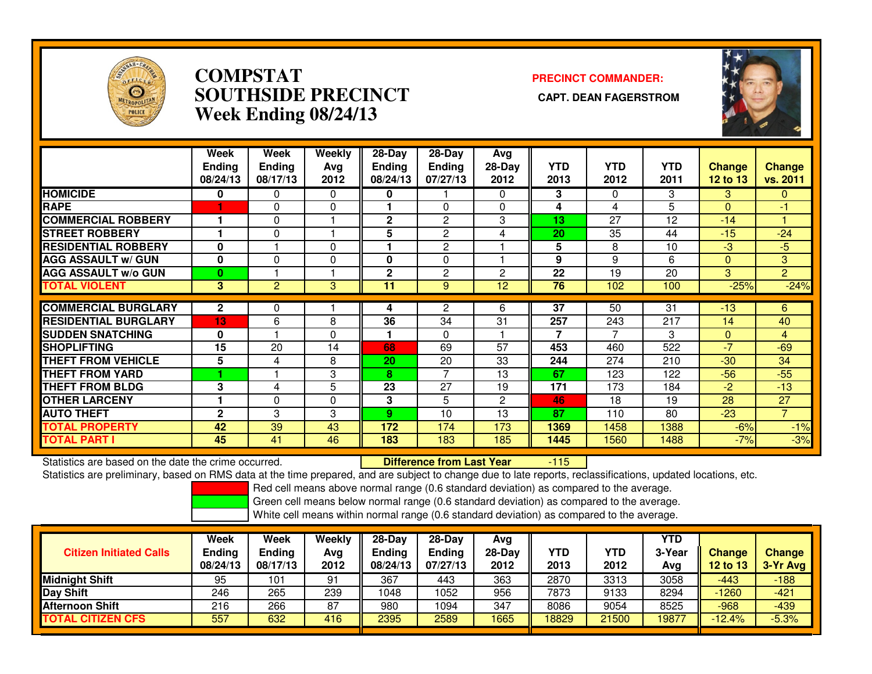

### **COMPSTAT PRECINCT COMMANDER: SOUTHSIDE PRECINCT CAPT. DEAN FAGERSTROMWeek Ending 08/24/13**



|                             | Week<br><b>Ending</b><br>08/24/13 | Week<br><b>Ending</b><br>08/17/13 | Weekly<br>Avg<br>2012 | $28-Day$<br><b>Ending</b><br>08/24/13 | 28-Day<br><b>Ending</b><br>07/27/13 | Avg<br>$28-Day$<br>2012 | <b>YTD</b><br>2013 | <b>YTD</b><br>2012 | <b>YTD</b><br>2011 | <b>Change</b><br><b>12 to 13</b> | Change<br>vs. 2011 |
|-----------------------------|-----------------------------------|-----------------------------------|-----------------------|---------------------------------------|-------------------------------------|-------------------------|--------------------|--------------------|--------------------|----------------------------------|--------------------|
| <b>HOMICIDE</b>             | 0                                 | 0                                 | $\mathbf{0}$          | 0                                     |                                     | $\Omega$                | 3                  | $\Omega$           | 3                  | 3                                | $\mathbf{0}$       |
| <b>RAPE</b>                 |                                   | $\Omega$                          | 0                     |                                       | $\Omega$                            | $\Omega$                | 4                  | 4                  | 5                  | $\Omega$                         | -1                 |
| <b>COMMERCIAL ROBBERY</b>   |                                   | $\Omega$                          |                       | $\mathbf{2}$                          | 2                                   | 3                       | 13                 | 27                 | 12                 | $-14$                            |                    |
| <b>STREET ROBBERY</b>       |                                   | $\Omega$                          |                       | 5                                     | $\overline{2}$                      | 4                       | 20                 | 35                 | 44                 | $-15$                            | $-24$              |
| <b>RESIDENTIAL ROBBERY</b>  | $\mathbf 0$                       |                                   | 0                     |                                       | $\overline{c}$                      |                         | 5                  | 8                  | 10                 | $-3$                             | $-5$               |
| <b>AGG ASSAULT w/ GUN</b>   | $\mathbf 0$                       | $\Omega$                          | 0                     | 0                                     | 0                                   |                         | 9                  | 9                  | 6                  | $\Omega$                         | 3                  |
| <b>AGG ASSAULT w/o GUN</b>  | 0                                 |                                   |                       | $\overline{2}$                        | $\overline{2}$                      | 2                       | 22                 | 19                 | 20                 | 3                                | $\overline{2}$     |
| <b>TOTAL VIOLENT</b>        | 3                                 | $\overline{2}$                    | 3                     | 11                                    | 9                                   | 12 <sup>2</sup>         | 76                 | 102                | 100                | $-25%$                           | $-24%$             |
|                             |                                   |                                   |                       |                                       |                                     |                         |                    |                    |                    |                                  |                    |
| <b>COMMERCIAL BURGLARY</b>  | $\mathbf{2}$                      | 0                                 |                       | 4                                     | 2                                   | 6                       | $\overline{37}$    | 50                 | 31                 | $-13$                            | 6                  |
| <b>RESIDENTIAL BURGLARY</b> | 13                                | 6                                 | 8                     | 36                                    | 34                                  | 31                      | 257                | 243                | 217                | 14                               | 40                 |
| <b>SUDDEN SNATCHING</b>     | 0                                 |                                   | $\mathbf{0}$          | и                                     | $\Omega$                            |                         | 7                  | 7                  | 3                  | $\mathbf{0}$                     | $\overline{4}$     |
| <b>SHOPLIFTING</b>          | 15                                | 20                                | 14                    | 68                                    | 69                                  | 57                      | 453                | 460                | 522                | -7                               | $-69$              |
| <b>THEFT FROM VEHICLE</b>   | 5                                 | 4                                 | 8                     | 20                                    | 20                                  | 33                      | 244                | 274                | 210                | $-30$                            | 34                 |
| <b>THEFT FROM YARD</b>      |                                   |                                   | 3                     | 8                                     | 7                                   | 13                      | 67                 | 123                | 122                | $-56$                            | $-55$              |
| <b>THEFT FROM BLDG</b>      | 3                                 | 4                                 | 5                     | 23                                    | 27                                  | 19                      | 171                | 173                | 184                | $-2$                             | $-13$              |
| <b>OTHER LARCENY</b>        |                                   | 0                                 | $\mathbf 0$           | 3                                     | 5                                   | 2                       | 46                 | 18                 | 19                 | 28                               | 27                 |
| <b>AUTO THEFT</b>           | $\mathbf{2}$                      | 3                                 | 3                     | 9.                                    | 10                                  | 13                      | 87                 | 110                | 80                 | $-23$                            | $\overline{7}$     |
| TOTAL PROPERTY              | 42                                | 39                                | 43                    | 172                                   | 174                                 | 173                     | 1369               | 1458               | 1388               | $-6%$                            | $-1%$              |
| <b>TOTAL PART I</b>         | 45                                | 41                                | 46                    | 183                                   | 183                                 | 185                     | 1445               | 1560               | 1488               | $-7%$                            | $-3%$              |

Statistics are based on the date the crime occurred. **Difference from Last Year** 

-115

Statistics are preliminary, based on RMS data at the time prepared, and are subject to change due to late reports, reclassifications, updated locations, etc.

Red cell means above normal range (0.6 standard deviation) as compared to the average.

Green cell means below normal range (0.6 standard deviation) as compared to the average.

| <b>Citizen Initiated Calls</b> | Week<br><b>Ending</b><br>08/24/13 | <b>Week</b><br><b>Ending</b><br>08/17/13 | Weekly<br>Avg<br>2012 | $28-Day$<br><b>Ending</b><br>08/24/13 | $28-Dav$<br><b>Ending</b><br>07/27/13 | Avg<br>$28-Day$<br>2012 | YTD<br>2013 | YTD<br>2012 | YTD<br>3-Year<br>Avg | <b>Change</b><br>12 to 13 | <b>Change</b><br>3-Yr Avg |
|--------------------------------|-----------------------------------|------------------------------------------|-----------------------|---------------------------------------|---------------------------------------|-------------------------|-------------|-------------|----------------------|---------------------------|---------------------------|
| <b>Midnight Shift</b>          | 95                                | 101                                      | 91                    | 367                                   | 443                                   | 363                     | 2870        | 3313        | 3058                 | -443                      | $-188$                    |
| Day Shift                      | 246                               | 265                                      | 239                   | 1048                                  | 1052                                  | 956                     | 7873        | 9133        | 8294                 | $-1260$                   | $-421$                    |
| <b>Afternoon Shift</b>         | 216                               | 266                                      | 87                    | 980                                   | 1094                                  | 347                     | 8086        | 9054        | 8525                 | $-968$                    | $-439$                    |
| <b>TOTAL CITIZEN CFS</b>       | 557                               | 632                                      | 416                   | 2395                                  | 2589                                  | 1665                    | 18829       | 21500       | 19877                | $-12.4%$                  | $-5.3%$                   |